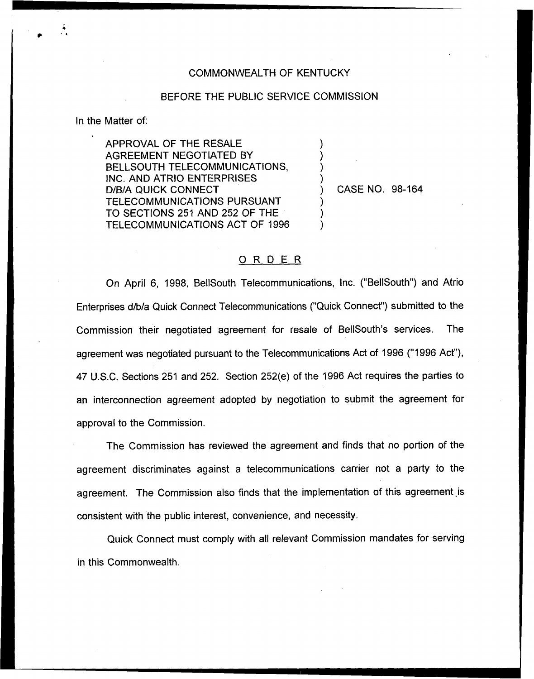## COMMONWEALTH OF KENTUCKY

## BEFORE THE PUBLIC SERVICE COMMISSION

) ) ) )

) ) )

In the Matter of:

APPROVAL OF THE RESALE AGREEMENT NEGOTIATED BY BELLSOUTH TELECOMMUNICATIONS, INC. AND ATRIO ENTERPRISES D/B/A QUICK CONNECT TELECOMMUNICATIONS PURSUANT TO SECTIONS 251 AND 252 OF THE TELECOMMUNICATIONS ACT OF 1996

) CASE NO. 98-164

## ORDER

On April 6, 1998, BellSouth Telecommunications, inc. ("BellSouth") and Atrio Enterprises d/b/a Quick Connect Telecommunications ("Quick Connect") submitted to the Commission their negotiated agreement for resale of BellSouth's services. The agreement was negotiated pursuant to the Telecommunications Act of 1996 ("1996 Act"), 47 U.S.C. Sections 251 and 252. Section 252(e) of the 1996 Act requires the parties to an interconnection agreement adopted by negotiation to submit the agreement for approval to the Commission.

The Commission has reviewed the agreement and finds that no portion of the agreement discriminates against a telecommunications carrier not a party to the agreement. The Commission also finds that the implementation of this agreement is consistent with the public interest, convenience, and necessity.

Quick Connect must comply with all relevant Commission mandates for serving in this Commonwealth.